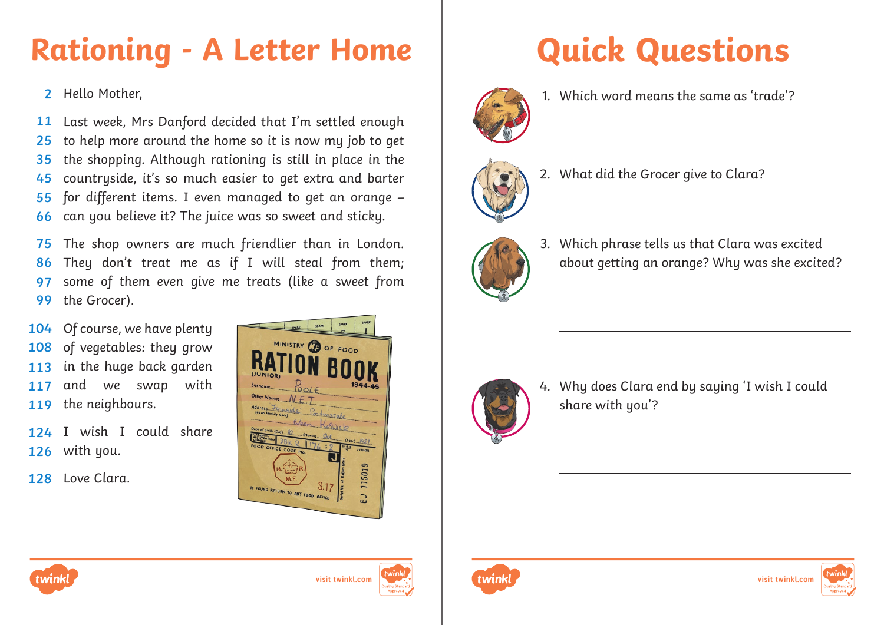## **Rationing - A Letter Home | Quick Questions**

Hello Mother, **2**

Last week, Mrs Danford decided that I'm settled enough to help more around the home so it is now my job to get the shopping. Although rationing is still in place in the countryside, it's so much easier to get extra and barter for different items. I even managed to get an orange – can you believe it? The juice was so sweet and sticky. **11 25 35 45 55 66**

The shop owners are much friendlier than in London. They don't treat me as if I will steal from them; some of them even give me treats (like a sweet from the Grocer). **75 86 97 99**

Of course, we have plenty of vegetables: they grow in the huge back garden and we swap with the neighbours. **104 108 113 117 119**

124 I wish I could share with you. **126**

128 Love Clara.





1. Which word means the same as 'trade'?



2. What did the Grocer give to Clara?



3. Which phrase tells us that Clara was excited about getting an orange? Why was she excited?



4. Why does Clara end by saying 'I wish I could share with you'?